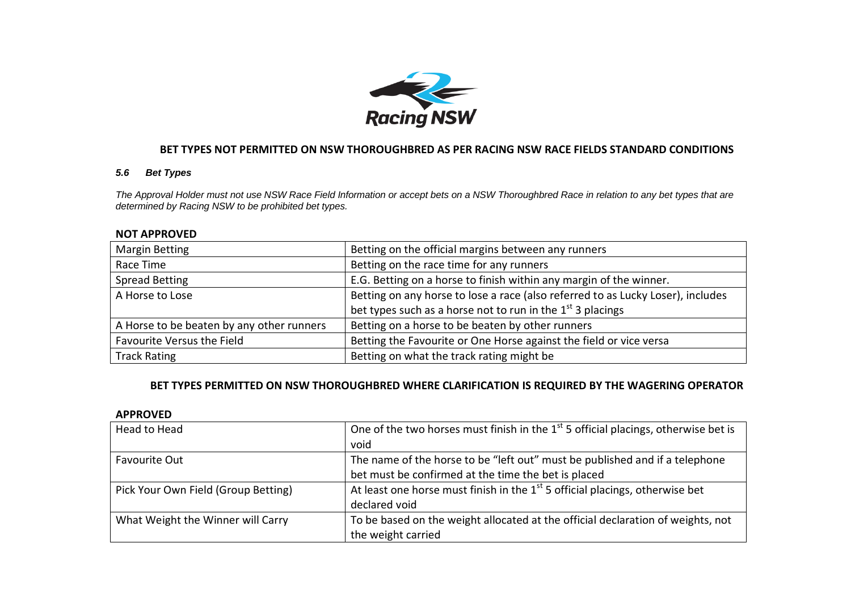

# **BET TYPES NOT PERMITTED ON NSW THOROUGHBRED AS PER RACING NSW RACE FIELDS STANDARD CONDITIONS**

## *5.6 Bet Types*

*The Approval Holder must not use NSW Race Field Information or accept bets on a NSW Thoroughbred Race in relation to any bet types that are determined by Racing NSW to be prohibited bet types.*

#### **NOT APPROVED**

| <b>Margin Betting</b>                     | Betting on the official margins between any runners                             |
|-------------------------------------------|---------------------------------------------------------------------------------|
| Race Time                                 | Betting on the race time for any runners                                        |
| <b>Spread Betting</b>                     | E.G. Betting on a horse to finish within any margin of the winner.              |
| A Horse to Lose                           | Betting on any horse to lose a race (also referred to as Lucky Loser), includes |
|                                           | bet types such as a horse not to run in the $1st$ 3 placings                    |
| A Horse to be beaten by any other runners | Betting on a horse to be beaten by other runners                                |
| Favourite Versus the Field                | Betting the Favourite or One Horse against the field or vice versa              |
| <b>Track Rating</b>                       | Betting on what the track rating might be                                       |

## **BET TYPES PERMITTED ON NSW THOROUGHBRED WHERE CLARIFICATION IS REQUIRED BY THE WAGERING OPERATOR**

## **APPROVED**

| Head to Head                        | One of the two horses must finish in the $1st$ 5 official placings, otherwise bet is |
|-------------------------------------|--------------------------------------------------------------------------------------|
|                                     | void                                                                                 |
| Favourite Out                       | The name of the horse to be "left out" must be published and if a telephone          |
|                                     | bet must be confirmed at the time the bet is placed                                  |
| Pick Your Own Field (Group Betting) | At least one horse must finish in the $1st$ 5 official placings, otherwise bet       |
|                                     | declared void                                                                        |
| What Weight the Winner will Carry   | To be based on the weight allocated at the official declaration of weights, not      |
|                                     | the weight carried                                                                   |